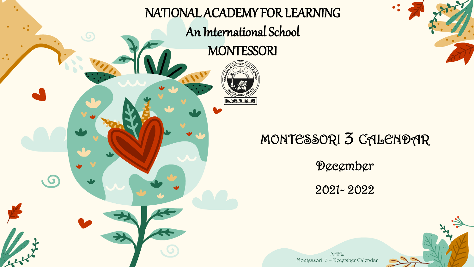

## $\bullet$ .

## MONTESSORI 3 CALENDAR

December

2021- 2022

NAFL Montessori 3 – December Calendar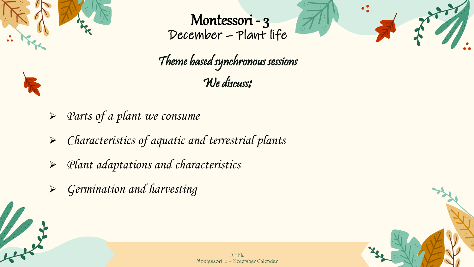

a sel

Montessori - 3 December – Plant life



Theme based synchronous sessions We discuss:

- ➢ Parts of a plant we consume
- ➢ Characteristics of aquatic and terrestrial plants
- ➢ Plant adaptations and characteristics
- ➢ Germination and harvesting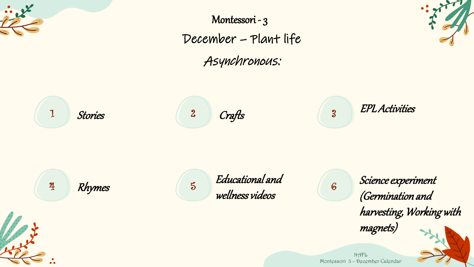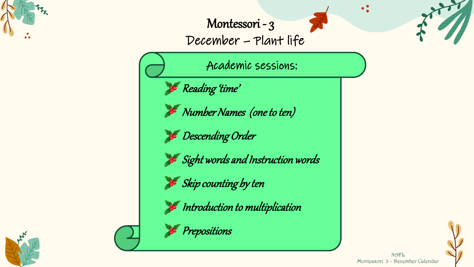

Montessori - 3

December – Plant life

Academic sessions:

**A** Reading 'time'



**Descending Order** 

Sight words and Instruction words

 $S$ kip counting by ten

 $\blacktriangleright$  Introduction to multiplication





Prepositions

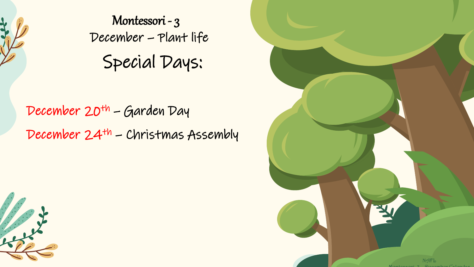

Special Days: Montessori - 3 December – Plant life

December 20<sup>th</sup> – Garden Day December 24th – Christmas Assembly



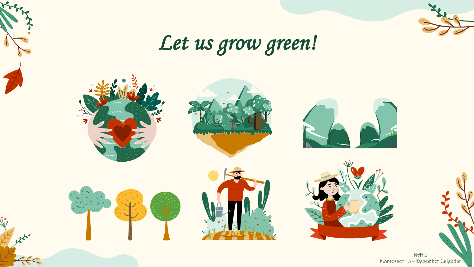

## Let us grow green!



 $\mathbb{R}^{\mathbb{R}^{\mathbb{Z}}}$ 

NAFL Montessori 3 – December Calendar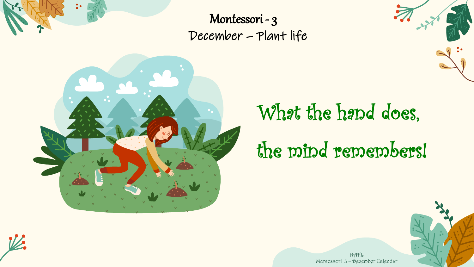

Montessori - 3 December – Plant life



## What the hand does, the mind remembers!





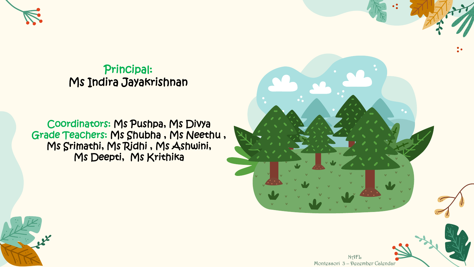

Principal: Ms Indira Jayakrishnan

Coordinators: Ms Pushpa, Ms Divya Grade Teachers: Ms Shubha , Ms Neethu , Ms Srimathi, Ms Ridhi , Ms Ashwini, Ms Deepti, Ms Krithika